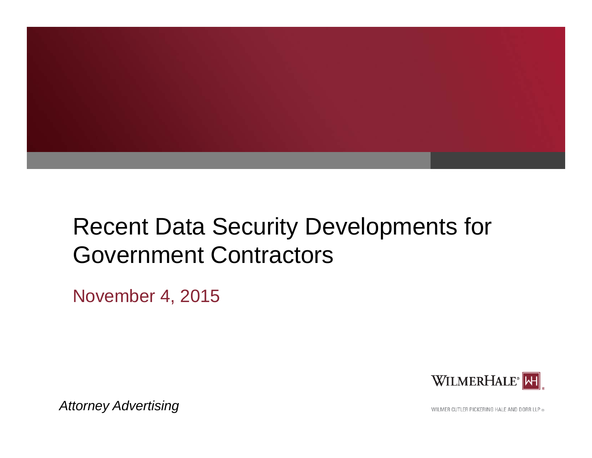

# Recent Data Security Developments for Government Contractors

November 4, 2015



*Attorney Advertising*

WILMER CUTLER PICKERING HALE AND DORR LLP ®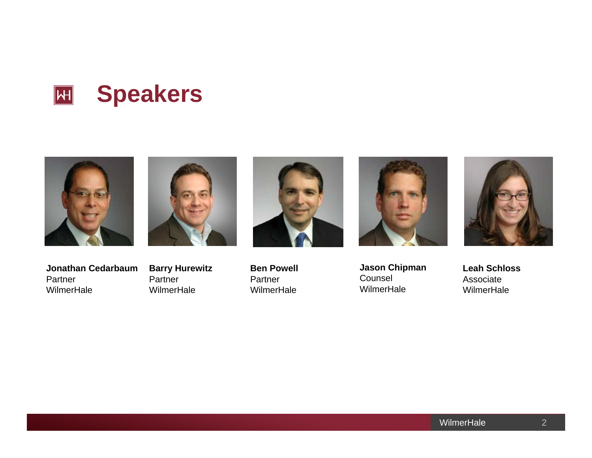





**Ben Powell**Partner



**Jason Chipman**  CounselWilmerHale

**Jonathan Cedarbaum**Partner**WilmerHale** 

**Barry Hurewitz** Partner**WilmerHale** 

**WilmerHale** 

**Leah Schloss**Associate **WilmerHale**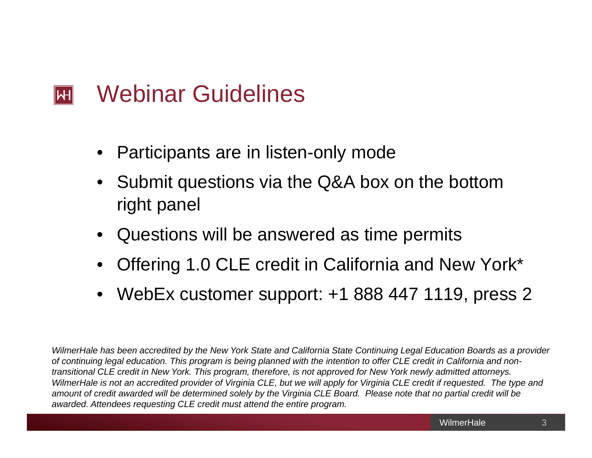#### Webinar Guidelines  $\mathsf{H}\mathsf{H}$

- $\bullet$ Participants are in listen-only mode
- Submit questions via the Q&A box on the bottom right panel
- •Questions will be answered as time permits
- •Offering 1.0 CLE credit in California and New York\*
- $\bullet$ WebEx customer support: +1 888 447 1119, press 2

*WilmerHale has been accredited by the New York State and California State Continuing Legal Education Boards as a provider of continuing legal education. This program is being planned with the intention to offer CLE credit in California and nontransitional CLE credit in New York. This program, therefore, is not approved for New York newly admitted attorneys. WilmerHale is not an accredited provider of Virginia CLE, but we will apply for Virginia CLE credit if requested. The type and amount of credit awarded will be determined solely by the Virginia CLE Board. Please note that no partial credit will be awarded. Attendees requesting CLE credit must attend the entire program.*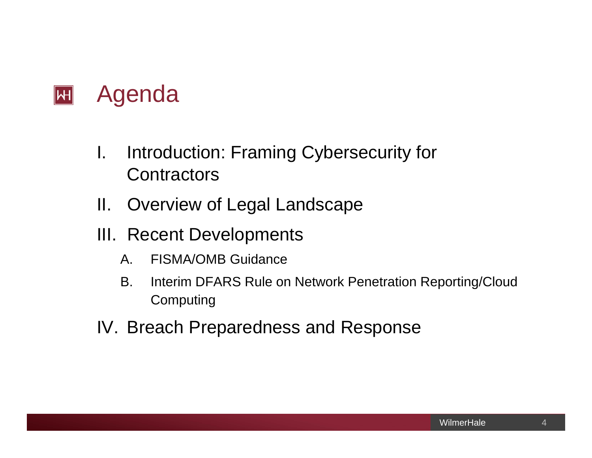

- I. Introduction: Framing Cybersecurity for **Contractors**
- II. Overview of Legal Landscape
- III. Recent Developments
	- A. FISMA/OMB Guidance
	- B. Interim DFARS Rule on Network Penetration Reporting/Cloud Computing
- IV. Breach Preparedness and Response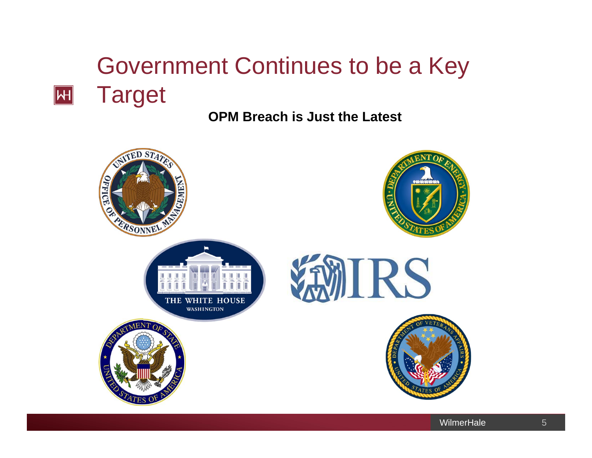# Government Continues to be a Key Target

 $\boxed{\mathsf{H}}$ 

## **OPM Breach is Just the Latest**

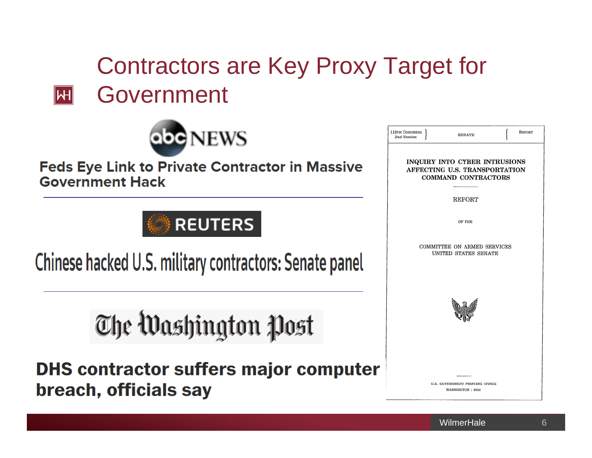# Contractors are Key Proxy Target for **四** Government



### **Feds Eye Link to Private Contractor in Massive Government Hack**

## **REUTERS**

Chinese hacked U.S. military contractors: Senate panel

The Washington Post

**DHS contractor suffers major computer** breach, officials say

| 113TH CONGRESS  <br>2nd Session | <b>SENATE</b>                                       | REPORT |
|---------------------------------|-----------------------------------------------------|--------|
|                                 | INQUIRY INTO CYBER INTRUSIONS                       |        |
|                                 | AFFECTING U.S. TRANSPORTATION                       |        |
|                                 | COMMAND CONTRACTORS                                 |        |
|                                 |                                                     |        |
|                                 | <b>REPORT</b>                                       |        |
|                                 |                                                     |        |
|                                 | OF THE                                              |        |
|                                 |                                                     |        |
|                                 |                                                     |        |
|                                 | COMMITTEE ON ARMED SERVICES<br>UNITED STATES SENATE |        |
|                                 |                                                     |        |
|                                 |                                                     |        |
|                                 |                                                     |        |
|                                 |                                                     |        |
|                                 |                                                     |        |
|                                 |                                                     |        |
|                                 |                                                     |        |
|                                 |                                                     |        |
|                                 |                                                     |        |
|                                 |                                                     |        |
|                                 |                                                     |        |
|                                 |                                                     |        |
|                                 | U.S. GOVERNMENT PRINTING OFFICE                     |        |
|                                 | WASHINGTON : 2014                                   |        |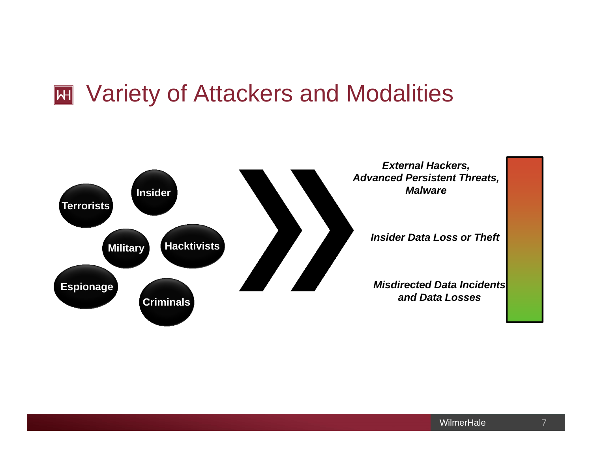# **EXECUTE:** Variety of Attackers and Modalities

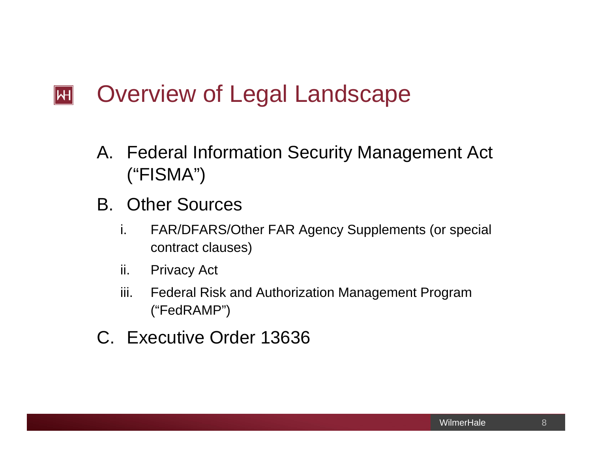#### Overview of Legal Landscape  $|\mathsf{H}|$

- A. Federal Information Security Management Act ("FISMA")
- B. Other Sources
	- i. FAR/DFARS/Other FAR Agency Supplements (or special contract clauses)
	- ii. Privacy Act
	- iii. Federal Risk and Authorization Management Program ("FedRAMP")
- C. Executive Order 13636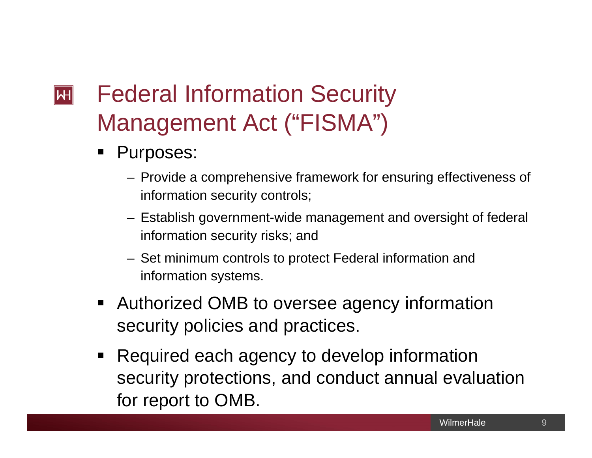## Federal Information Security  $\mathbb H$ Management Act ("FISMA")

- $\blacksquare$  Purposes:
	- Provide a comprehensive framework for ensuring effectiveness of information security controls;
	- Establish government-wide management and oversight of federal information security risks; and
	- Set minimum controls to protect Federal information and information systems.
- **Authorized OMB to oversee agency information** security policies and practices.
- $\blacksquare$  Required each agency to develop information security protections, and conduct annual evaluation for report to OMB.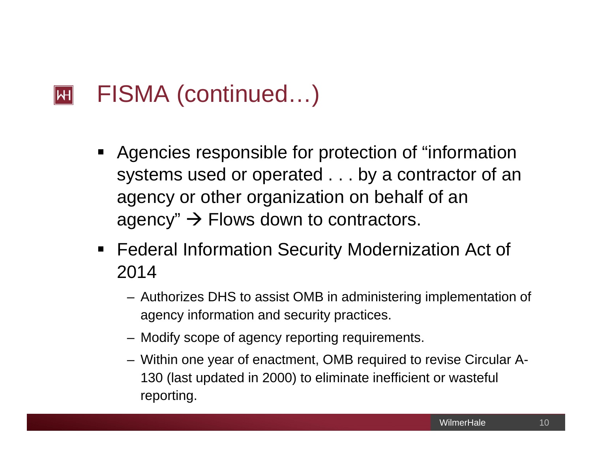#### FISMA (continued…)  $\mathbb H$

- $\blacksquare$  Agencies responsible for protection of "information systems used or operated . . . by a contractor of an agency or other organization on behalf of an agency"  $\rightarrow$  Flows down to contractors.
- $\blacksquare$  Federal Information Security Modernization Act of 2014
	- Authorizes DHS to assist OMB in administering implementation of agency information and security practices.
	- Modify scope of agency reporting requirements.
	- Within one year of enactment, OMB required to revise Circular A-130 (last updated in 2000) to eliminate inefficient or wasteful reporting.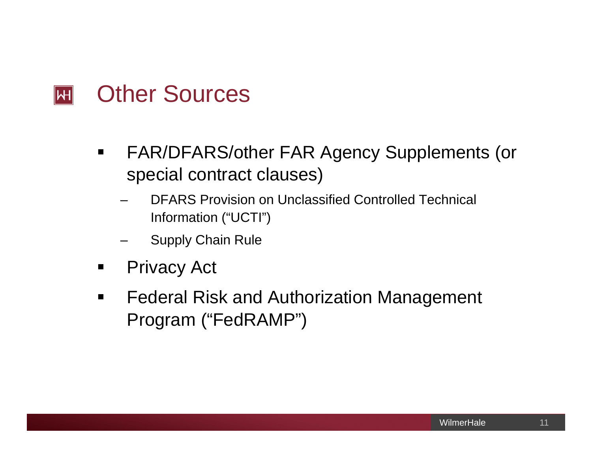#### Other Sources  $\mathbf{H}$

- $\blacksquare$  FAR/DFARS/other FAR Agency Supplements (or special contract clauses)
	- DFARS Provision on Unclassified Controlled Technical Information ("UCTI")
	- Supply Chain Rule
- $\blacksquare$ Privacy Act
- $\blacksquare$  Federal Risk and Authorization Management Program ("FedRAMP")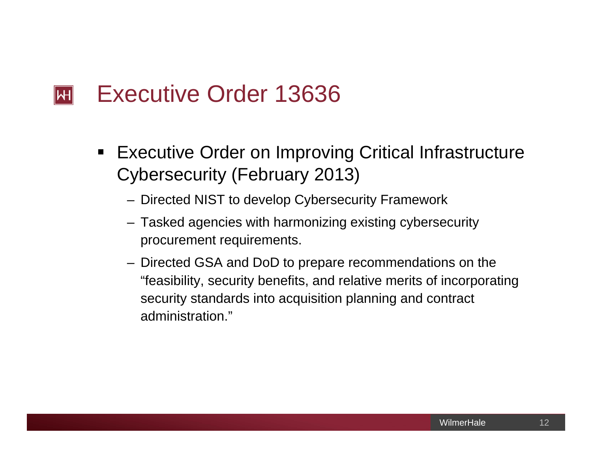#### Executive Order 13636  $\mathbb H$

- $\blacksquare$  Executive Order on Improving Critical Infrastructure Cybersecurity (February 2013)
	- Directed NIST to develop Cybersecurity Framework
	- Tasked agencies with harmonizing existing cybersecurity procurement requirements.
	- Directed GSA and DoD to prepare recommendations on the "feasibility, security benefits, and relative merits of incorporating security standards into acquisition planning and contract administration."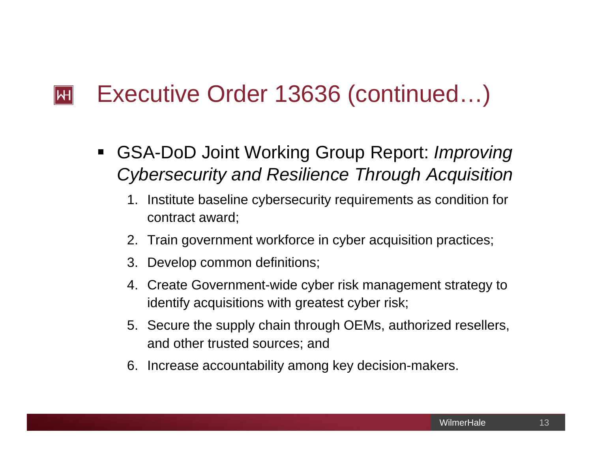#### Executive Order 13636 (continued…)  $\mathbb H$

- $\blacksquare$  GSA-DoD Joint Working Group Report: *Improving Cybersecurity and Resilience Through Acquisition*
	- 1. Institute baseline cybersecurity requirements as condition for contract award;
	- 2. Train government workforce in cyber acquisition practices;
	- 3. Develop common definitions;
	- 4. Create Government-wide cyber risk management strategy to identify acquisitions with greatest cyber risk;
	- 5. Secure the supply chain through OEMs, authorized resellers, and other trusted sources; and
	- 6. Increase accountability among key decision-makers.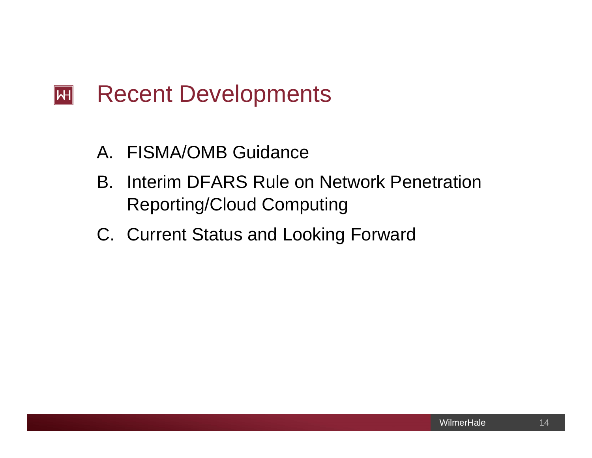#### Recent Developments  $\vert H \vert$

- A. FISMA/OMB Guidance
- B. Interim DFARS Rule on Network Penetration Reporting/Cloud Computing
- C. Current Status and Looking Forward

14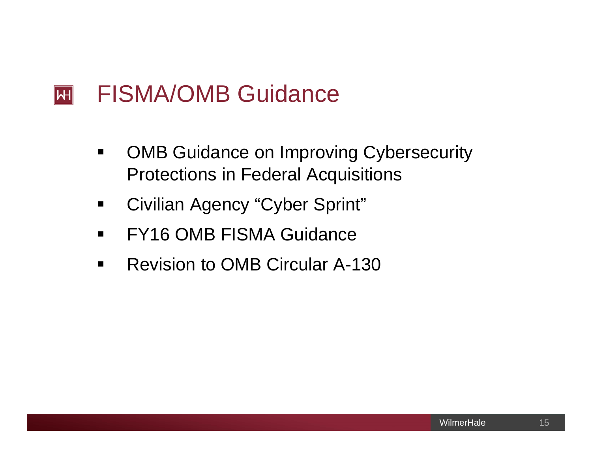#### FISMA/OMB Guidance  $\overline{|\mathcal{H}|}$

- $\blacksquare$  OMB Guidance on Improving Cybersecurity Protections in Federal Acquisitions
- $\blacksquare$ Civilian Agency "Cyber Sprint"
- $\blacksquare$ FY16 OMB FISMA Guidance
- $\blacksquare$ Revision to OMB Circular A-130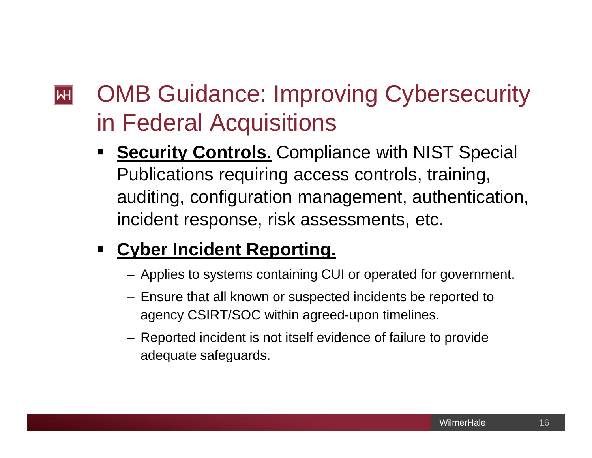## OMB Guidance: Improving Cybersecurity  $\mathbf{H}$ in Federal Acquisitions

 $\blacksquare$ **Security Controls.** Compliance with NIST Special Publications requiring access controls, training, auditing, configuration management, authentication, incident response, risk assessments, etc.

#### $\blacksquare$ **Cyber Incident Reporting.**

- Applies to systems containing CUI or operated for government.
- Ensure that all known or suspected incidents be reported to agency CSIRT/SOC within agreed-upon timelines.
- Reported incident is not itself evidence of failure to provide adequate safeguards.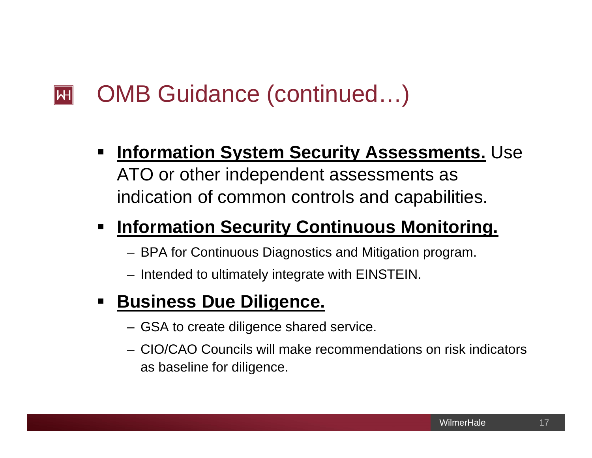#### OMB Guidance (continued…)  $\mathbb H$

 $\blacksquare$  **Information System Security Assessments.** Use ATO or other independent assessments as indication of common controls and capabilities.

#### $\blacksquare$ **Information Security Continuous Monitoring.**

- BPA for Continuous Diagnostics and Mitigation program.
- Intended to ultimately integrate with EINSTEIN.

#### $\blacksquare$ **Business Due Diligence.**

- GSA to create diligence shared service.
- CIO/CAO Councils will make recommendations on risk indicators as baseline for diligence.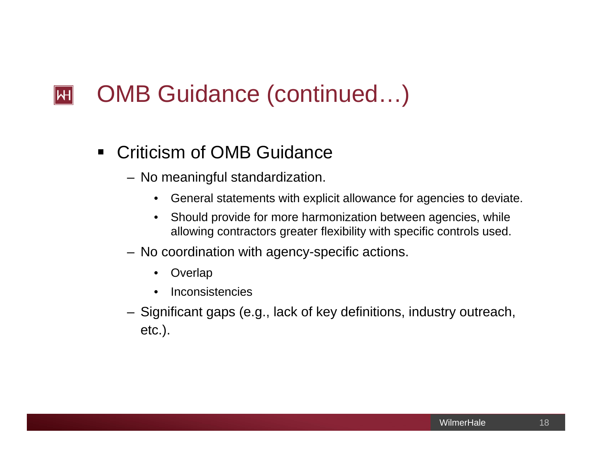#### OMB Guidance (continued…)  $\mathbb H$

- $\blacksquare$  Criticism of OMB Guidance
	- No meaningful standardization.
		- $\bullet$ General statements with explicit allowance for agencies to deviate.
		- • Should provide for more harmonization between agencies, while allowing contractors greater flexibility with specific controls used.
	- No coordination with agency-specific actions.
		- •**Overlap**
		- $\bullet$ Inconsistencies
	- Significant gaps (e.g., lack of key definitions, industry outreach, etc.).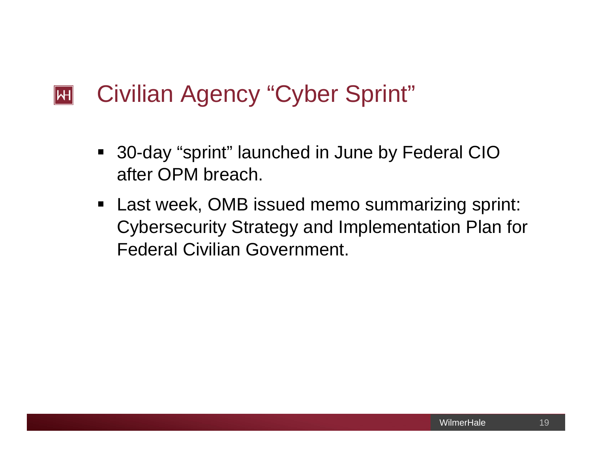#### Civilian Agency "Cyber Sprint"  $|\mathsf{H}|$

- $\blacksquare$  30-day "sprint" launched in June by Federal CIO after OPM breach.
- **Last week, OMB issued memo summarizing sprint:** Cybersecurity Strategy and Implementation Plan for Federal Civilian Government.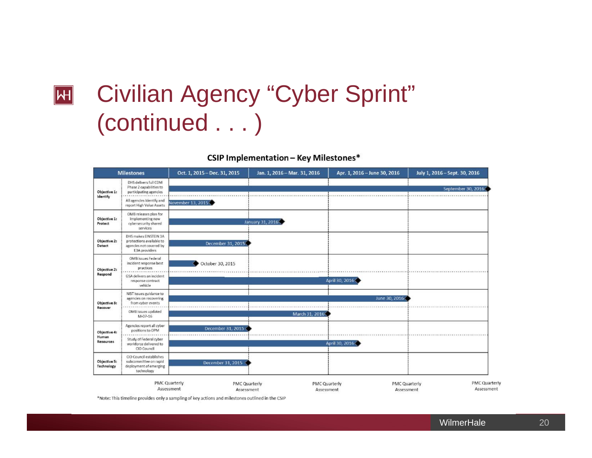# **E Civilian Agency "Cyber Sprint"** (continued . . . )

#### **CSIP Implementation - Key Milestones\***



\*Note: This timeline provides only a sampling of key actions and milestones outlined in the CSIP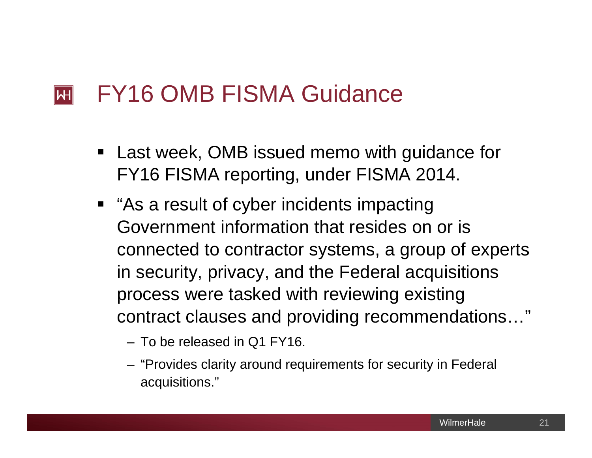#### FY16 OMB FISMA Guidance  $\mathbf{H}$

- $\blacksquare$  Last week, OMB issued memo with guidance for FY16 FISMA reporting, under FISMA 2014.
- "As a result of cyber incidents impacting Government information that resides on or is connected to contractor systems, a group of experts in security, privacy, and the Federal acquisitions process were tasked with reviewing existing contract clauses and providing recommendations…"
	- To be released in Q1 FY16.
	- "Provides clarity around requirements for security in Federal acquisitions."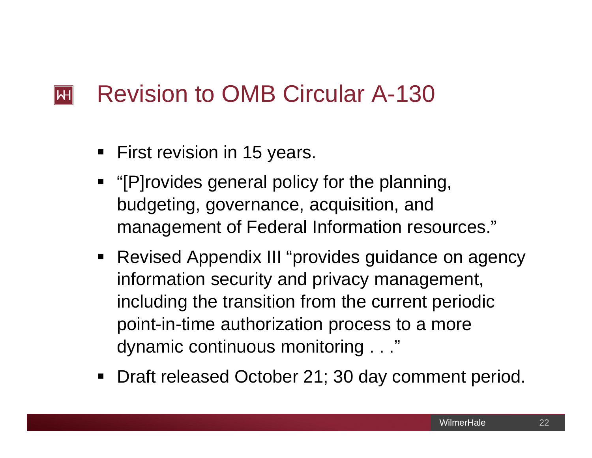#### Revision to OMB Circular A-130  $\mathbb H$

- **First revision in 15 years.**
- **•** "[P]rovides general policy for the planning, budgeting, governance, acquisition, and management of Federal Information resources."
- Revised Appendix III "provides guidance on agency information security and privacy management, including the transition from the current periodic point-in-time authorization process to a more dynamic continuous monitoring . . ."
- **Draft released October 21; 30 day comment period.**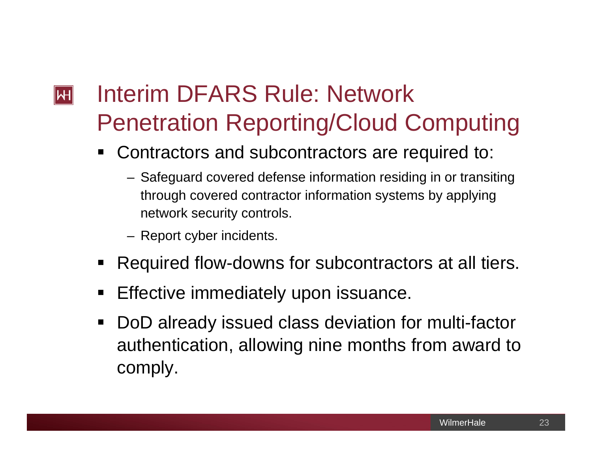## Interim DFARS Rule: Network  $\mathbf{H}$ Penetration Reporting/Cloud Computing

- ٠ Contractors and subcontractors are required to:
	- Safeguard covered defense information residing in or transiting through covered contractor information systems by applying network security controls.
	- Report cyber incidents.
- $\blacksquare$ Required flow-downs for subcontractors at all tiers.
- $\blacksquare$ Effective immediately upon issuance.
- $\blacksquare$  DoD already issued class deviation for multi-factor authentication, allowing nine months from award to comply.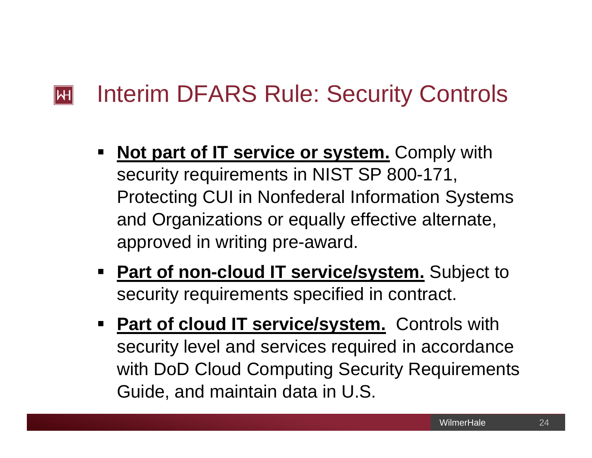#### Interim DFARS Rule: Security Controls  $\mathbf{H}$

- $\blacksquare$ **Not part of IT service or system.** Comply with security requirements in NIST SP 800-171, Protecting CUI in Nonfederal Information Systems and Organizations or equally effective alternate, approved in writing pre-award.
- **Part of non-cloud IT service/system.** Subject to security requirements specified in contract.
- **Part of cloud IT service/system.** Controls with security level and services required in accordance with DoD Cloud Computing Security Requirements Guide, and maintain data in U.S.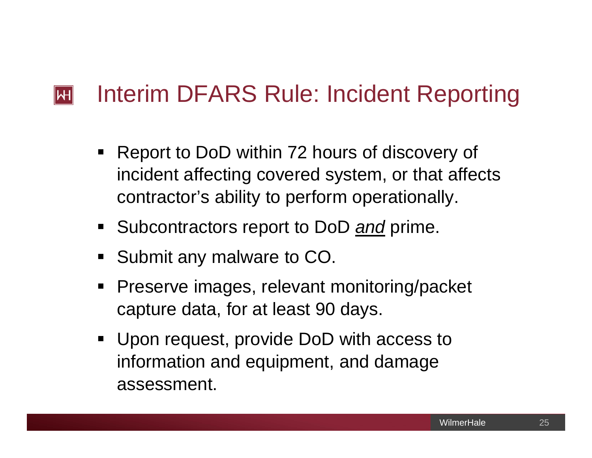#### Interim DFARS Rule: Incident Reporting  $\mathbf{H}$

- $\blacksquare$  Report to DoD within 72 hours of discovery of incident affecting covered system, or that affects contractor's ability to perform operationally.
- Subcontractors report to DoD **and** prime.
- $\blacksquare$ Submit any malware to CO.
- $\blacksquare$  Preserve images, relevant monitoring/packet capture data, for at least 90 days.
- Upon request, provide DoD with access to information and equipment, and damage assessment.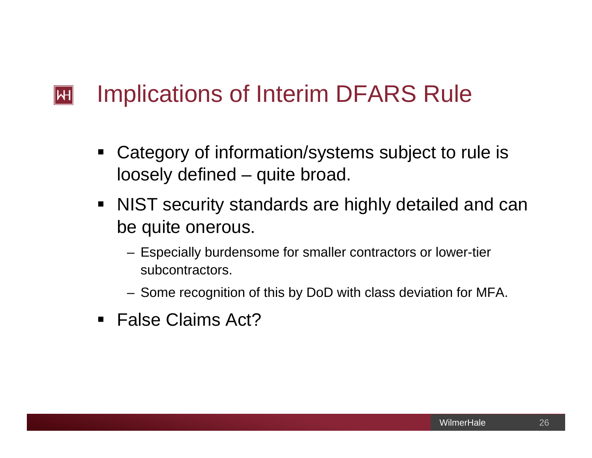#### Implications of Interim DFARS Rule  $\mathsf{H}$

- $\blacksquare$  Category of information/systems subject to rule is loosely defined – quite broad.
- NIST security standards are highly detailed and can be quite onerous.
	- Especially burdensome for smaller contractors or lower-tier subcontractors.
	- Some recognition of this by DoD with class deviation for MFA.
- False Claims Act?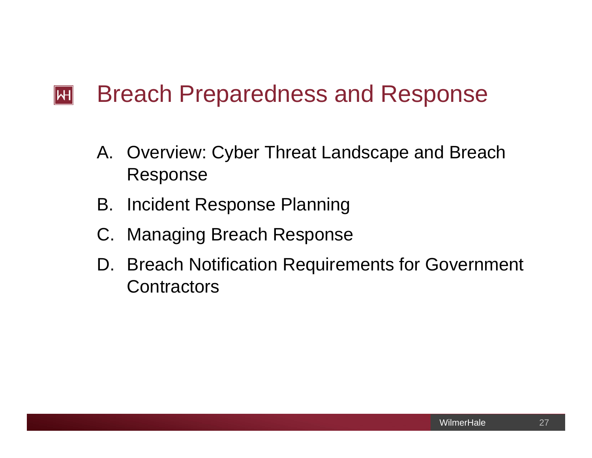#### Breach Preparedness and Response  $|\mathsf{H}|$

- A. Overview: Cyber Threat Landscape and Breach Response
- B. Incident Response Planning
- C. Managing Breach Response
- D. Breach Notification Requirements for Government **Contractors**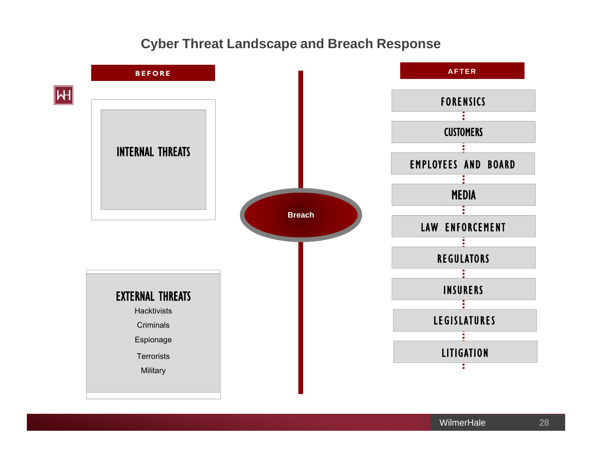### **Cyber Threat Landscape and Breach Response**

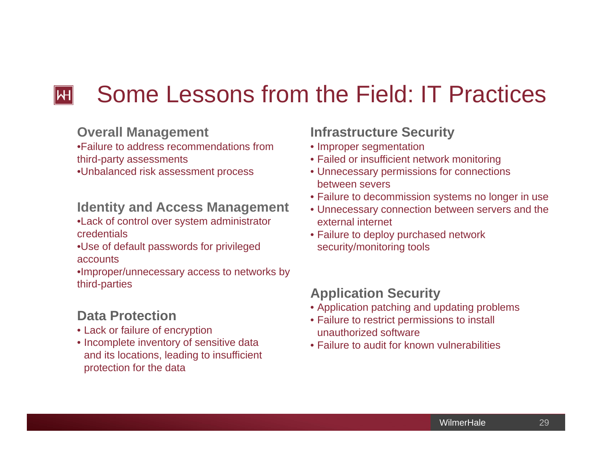#### Some Lessons from the Field: IT Practices  $\mathbb H$

#### **Overall Management**

•Failure to address recommendations from third-party assessments

•Unbalanced risk assessment process

#### **Identity and Access Management**

- •Lack of control over system administrator credentials
- •Use of default passwords for privileged accounts

•Improper/unnecessary access to networks by third-parties

### **Data Protection**

- Lack or failure of encryption
- Incomplete inventory of sensitive data and its locations, leading to insufficient protection for the data

### **Infrastructure Security**

- Improper segmentation
- Failed or insufficient network monitoring
- Unnecessary permissions for connections between severs
- Failure to decommission systems no longer in use
- Unnecessary connection between servers and the external internet
- Failure to deploy purchased network security/monitoring tools

### **Application Security**

- Application patching and updating problems
- Failure to restrict permissions to install unauthorized software
- Failure to audit for known vulnerabilities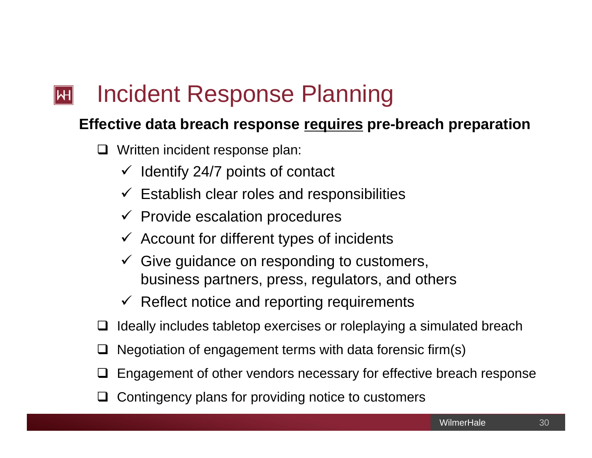#### Incident Response Planning  $\mathbb H$

## **Effective data breach response requires pre-breach preparation**

- Written incident response plan:
	- $\checkmark$  Identify 24/7 points of contact
	- $\checkmark$  Establish clear roles and responsibilities
	- $\checkmark$  Provide escalation procedures
	- $\checkmark$  Account for different types of incidents
	- $\checkmark$  Give guidance on responding to customers, business partners, press, regulators, and others
	- $\checkmark$  Reflect notice and reporting requirements
- $\Box$ Ideally includes tabletop exercises or roleplaying a simulated breach
- $\Box$ Negotiation of engagement terms with data forensic firm(s)
- $\Box$ Engagement of other vendors necessary for effective breach response
- $\Box$ Contingency plans for providing notice to customers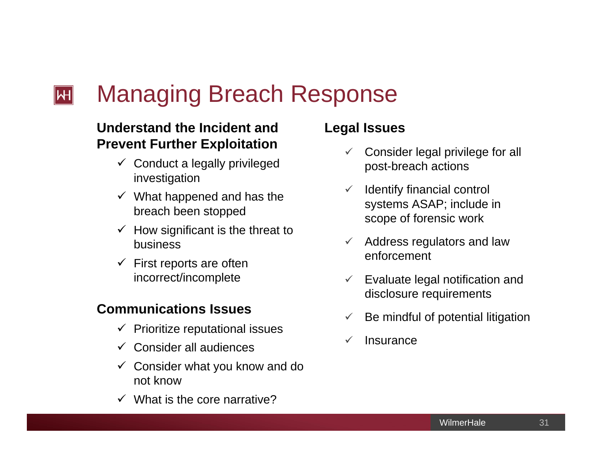#### Managing Breach Response  $\mathsf{H}\mathsf{H}$

## **Understand the Incident and Prevent Further Exploitation**

- $\checkmark$  Conduct a legally privileged investigation
- $\checkmark$  What happened and has the breach been stopped
- $\checkmark$  How significant is the threat to business
- $\checkmark$  First reports are often incorrect/incomplete

### **Communications Issues**

- $\checkmark$  Prioritize reputational issues
- $\checkmark$  Consider all audiences
- $\checkmark$  Consider what you know and do not know
- $\checkmark$  What is the core narrative?

### **Legal Issues**

- $\checkmark$  Consider legal privilege for all post-breach actions
- $\checkmark$  Identify financial control systems ASAP; include in scope of forensic work
- $\checkmark$  Address regulators and law enforcement
- $\checkmark$  Evaluate legal notification and disclosure requirements
- $\checkmark$ Be mindful of potential litigation
- $\checkmark$ **Insurance**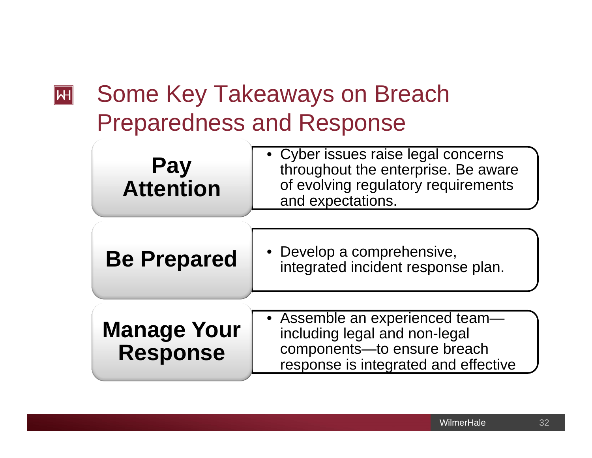## Some Key Takeaways on Breach  $\boxed{\mathsf{H}}$ Preparedness and Response

| <b>Pay</b><br><b>Attention</b>        | • Cyber issues raise legal concerns<br>throughout the enterprise. Be aware<br>of evolving regulatory requirements<br>and expectations.  |  |
|---------------------------------------|-----------------------------------------------------------------------------------------------------------------------------------------|--|
| <b>Be Prepared</b>                    | • Develop a comprehensive,<br>integrated incident response plan.                                                                        |  |
| <b>Manage Your</b><br><b>Response</b> | • Assemble an experienced team-<br>including legal and non-legal<br>components-to ensure breach<br>reconnee is integrated and effective |  |

response is integrated and effective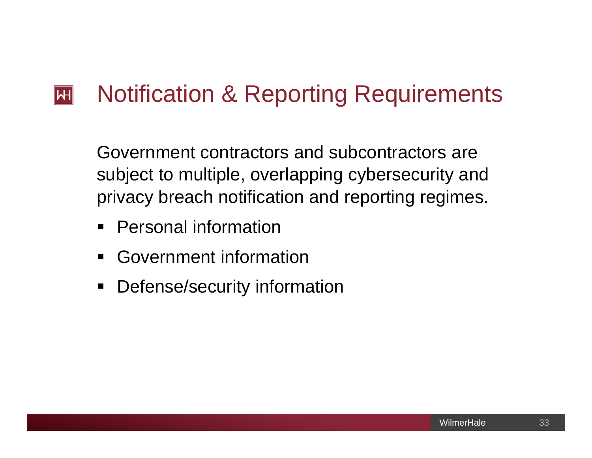#### Notification & Reporting Requirements  $|\mathsf{H}|$

Government contractors and subcontractors are subject to multiple, overlapping cybersecurity and privacy breach notification and reporting regimes.

- $\blacksquare$ Personal information
- $\blacksquare$ Government information
- $\blacksquare$ Defense/security information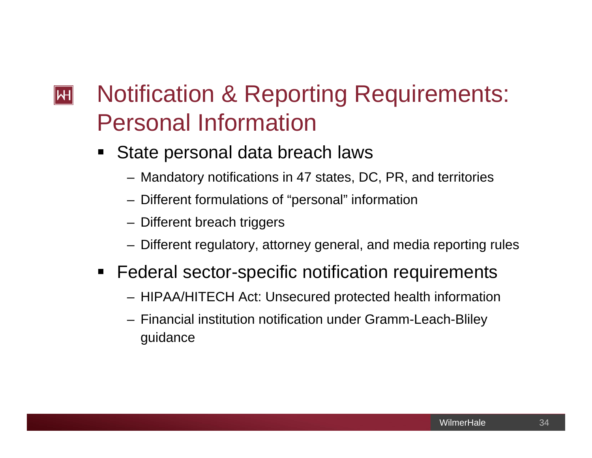## Notification & Reporting Requirements:  $\mathbb H$ Personal Information

- ٠ State personal data breach laws
	- Mandatory notifications in 47 states, DC, PR, and territories
	- Different formulations of "personal" information
	- Different breach triggers
	- Different regulatory, attorney general, and media reporting rules
- **Federal sector-specific notification requirements** 
	- HIPAA/HITECH Act: Unsecured protected health information
	- Financial institution notification under Gramm-Leach-Bliley guidance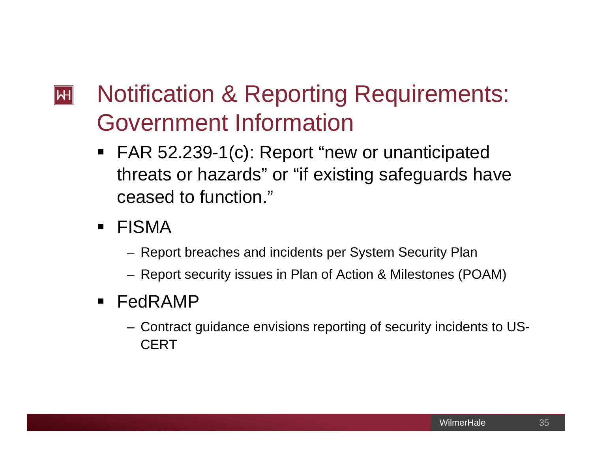## Notification & Reporting Requirements:  $|\mathsf{H}|$ Government Information

- FAR 52.239-1(c): Report "new or unanticipated threats or hazards" or "if existing safeguards have ceased to function."
- FISMA
	- Report breaches and incidents per System Security Plan
	- Report security issues in Plan of Action & Milestones (POAM)
- FedRAMP
	- Contract guidance envisions reporting of security incidents to US-**CERT**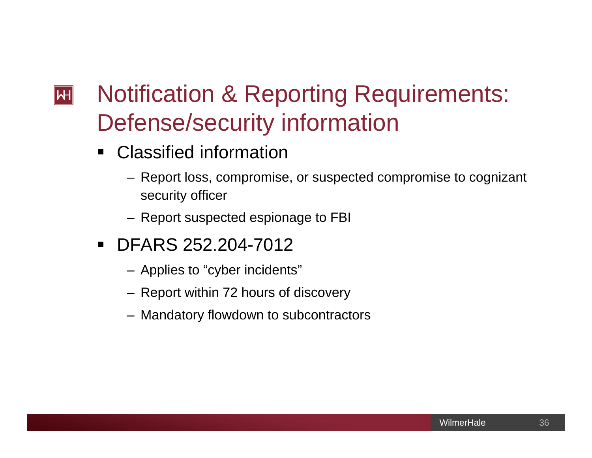## Notification & Reporting Requirements:  $|\mathsf{H}|$ Defense/security information

- $\blacksquare$  Classified information
	- Report loss, compromise, or suspected compromise to cognizant security officer
	- Report suspected espionage to FBI
- DFARS 252.204-7012
	- Applies to "cyber incidents"
	- Report within 72 hours of discovery
	- Mandatory flowdown to subcontractors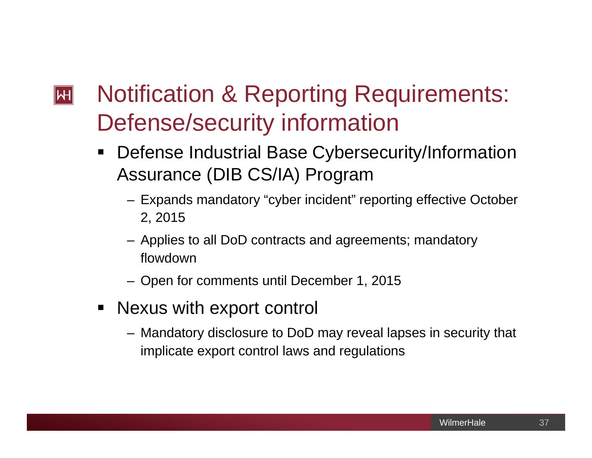## Notification & Reporting Requirements:  $|\mathsf{H}|$ Defense/security information

- $\blacksquare$  Defense Industrial Base Cybersecurity/Information Assurance (DIB CS/IA) Program
	- Expands mandatory "cyber incident" reporting effective October 2, 2015
	- Applies to all DoD contracts and agreements; mandatory flowdown
	- Open for comments until December 1, 2015
- Nexus with export control
	- Mandatory disclosure to DoD may reveal lapses in security that implicate export control laws and regulations